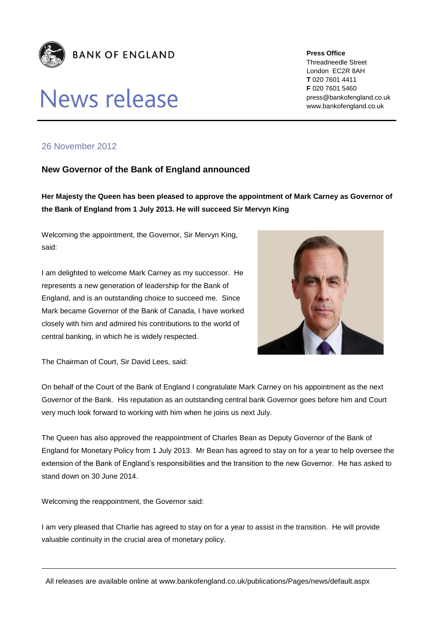

## **News release**

**Press Office** Threadneedle Street London EC2R 8AH **T** 020 7601 4411 **F** 020 7601 5460 press@bankofengland.co.uk www.bankofengland.co.uk

## 26 November 2012

## **New Governor of the Bank of England announced**

**Her Majesty the Queen has been pleased to approve the appointment of Mark Carney as Governor of the Bank of England from 1 July 2013. He will succeed Sir Mervyn King**

Welcoming the appointment, the Governor, Sir Mervyn King, said:

I am delighted to welcome Mark Carney as my successor. He represents a new generation of leadership for the Bank of England, and is an outstanding choice to succeed me. Since Mark became Governor of the Bank of Canada, I have worked closely with him and admired his contributions to the world of central banking, in which he is widely respected.



The Chairman of Court, Sir David Lees, said:

On behalf of the Court of the Bank of England I congratulate Mark Carney on his appointment as the next Governor of the Bank. His reputation as an outstanding central bank Governor goes before him and Court very much look forward to working with him when he joins us next July.

The Queen has also approved the reappointment of Charles Bean as Deputy Governor of the Bank of England for Monetary Policy from 1 July 2013. Mr Bean has agreed to stay on for a year to help oversee the extension of the Bank of England's responsibilities and the transition to the new Governor. He has asked to stand down on 30 June 2014.

Welcoming the reappointment, the Governor said:

I am very pleased that Charlie has agreed to stay on for a year to assist in the transition. He will provide valuable continuity in the crucial area of monetary policy.